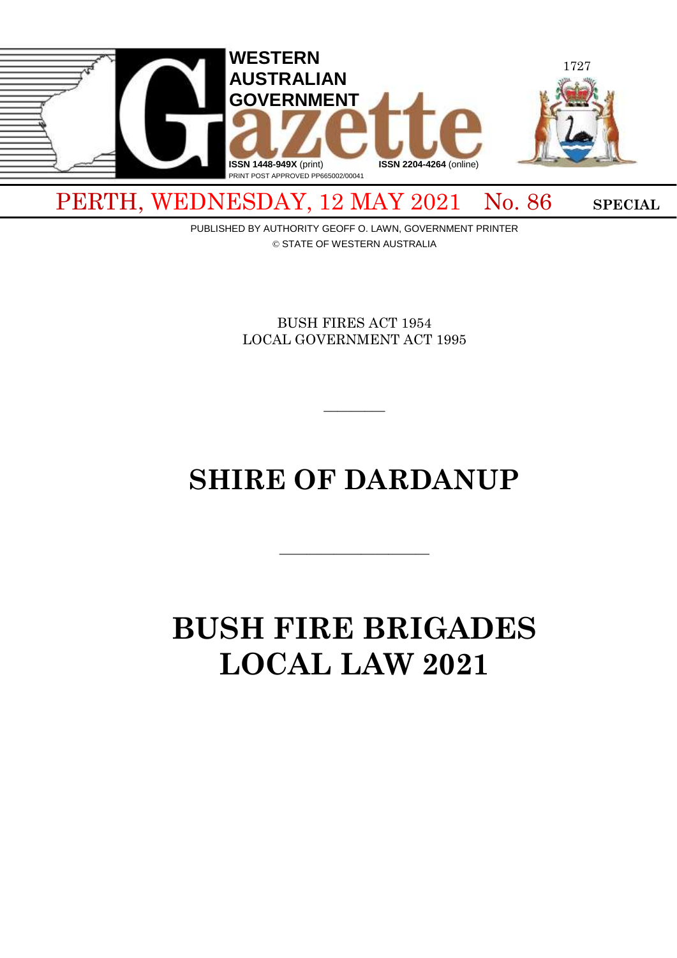

PUBLISHED BY AUTHORITY GEOFF O. LAWN, GOVERNMENT PRINTER

© STATE OF WESTERN AUSTRALIA

BUSH FIRES ACT 1954 LOCAL GOVERNMENT ACT 1995

# **SHIRE OF DARDANUP**

 $\overline{\phantom{a}}$  , and the contract of  $\overline{\phantom{a}}$ 

 $\overline{\phantom{a}}$ 

# **BUSH FIRE BRIGADES LOCAL LAW 2021**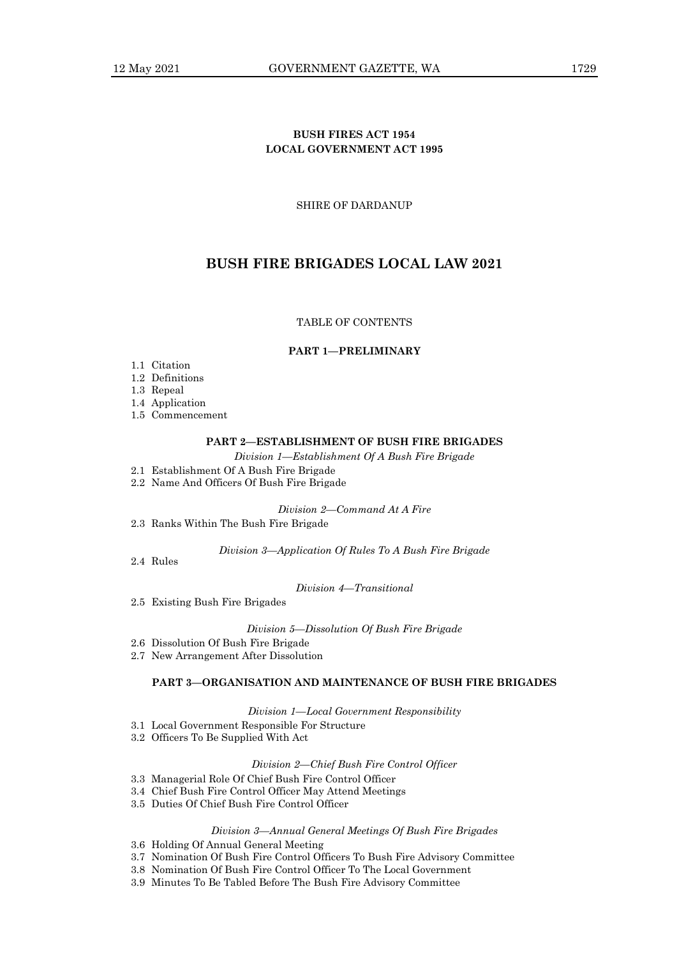# **BUSH FIRES ACT 1954 LOCAL GOVERNMENT ACT 1995**

SHIRE OF DARDANUP

# **BUSH FIRE BRIGADES LOCAL LAW 2021**

# TABLE OF CONTENTS

#### **PART 1—PRELIMINARY**

- 1.1 Citation
- 1.2 Definitions
- 1.3 Repeal
- 1.4 Application
- 1.5 Commencement

# **PART 2—ESTABLISHMENT OF BUSH FIRE BRIGADES**

*Division 1—Establishment Of A Bush Fire Brigade*

- 2.1 Establishment Of A Bush Fire Brigade
- 2.2 Name And Officers Of Bush Fire Brigade

*Division 2—Command At A Fire*

2.3 Ranks Within The Bush Fire Brigade

*Division 3—Application Of Rules To A Bush Fire Brigade*

2.4 Rules

*Division 4—Transitional*

2.5 Existing Bush Fire Brigades

*Division 5—Dissolution Of Bush Fire Brigade*

- 2.6 Dissolution Of Bush Fire Brigade
- 2.7 New Arrangement After Dissolution

# **PART 3—ORGANISATION AND MAINTENANCE OF BUSH FIRE BRIGADES**

*Division 1—Local Government Responsibility*

- 3.1 Local Government Responsible For Structure
- 3.2 Officers To Be Supplied With Act

# *Division 2—Chief Bush Fire Control Officer*

- 3.3 Managerial Role Of Chief Bush Fire Control Officer
- 3.4 Chief Bush Fire Control Officer May Attend Meetings
- 3.5 Duties Of Chief Bush Fire Control Officer

# *Division 3—Annual General Meetings Of Bush Fire Brigades*

- 3.6 Holding Of Annual General Meeting
- 3.7 Nomination Of Bush Fire Control Officers To Bush Fire Advisory Committee
- 3.8 Nomination Of Bush Fire Control Officer To The Local Government
- 3.9 Minutes To Be Tabled Before The Bush Fire Advisory Committee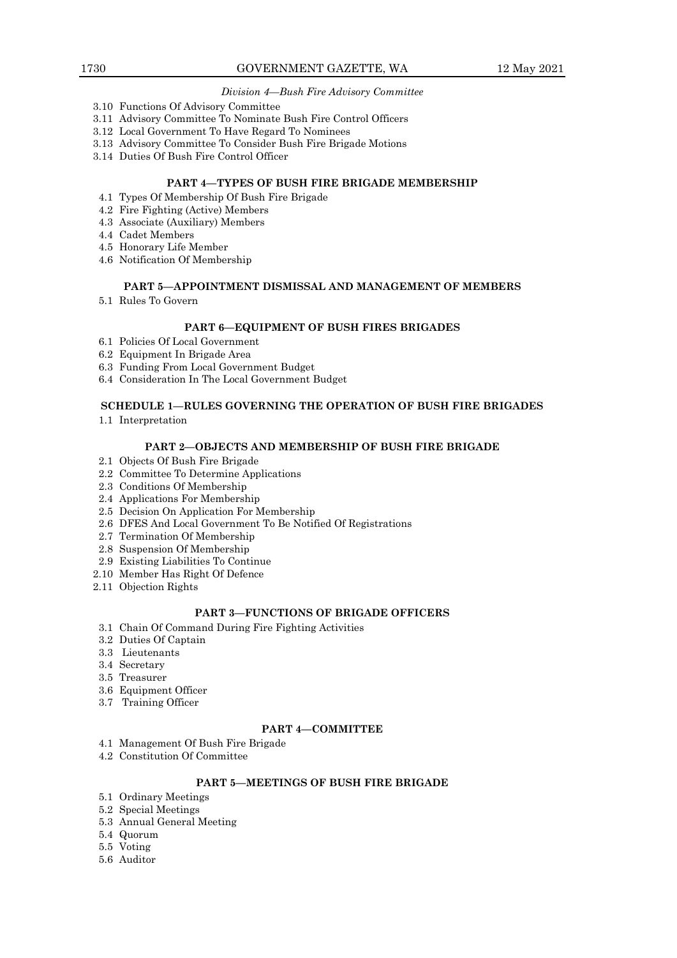# *Division 4—Bush Fire Advisory Committee*

- 3.10 Functions Of Advisory Committee
- 3.11 Advisory Committee To Nominate Bush Fire Control Officers
- 3.12 Local Government To Have Regard To Nominees
- 3.13 Advisory Committee To Consider Bush Fire Brigade Motions
- 3.14 Duties Of Bush Fire Control Officer

# **PART 4—TYPES OF BUSH FIRE BRIGADE MEMBERSHIP**

- 4.1 Types Of Membership Of Bush Fire Brigade
- 4.2 Fire Fighting (Active) Members
- 4.3 Associate (Auxiliary) Members
- 4.4 Cadet Members
- 4.5 Honorary Life Member
- 4.6 Notification Of Membership

# **PART 5—APPOINTMENT DISMISSAL AND MANAGEMENT OF MEMBERS**

5.1 Rules To Govern

#### **PART 6—EQUIPMENT OF BUSH FIRES BRIGADES**

- 6.1 Policies Of Local Government
- 6.2 Equipment In Brigade Area
- 6.3 Funding From Local Government Budget
- 6.4 Consideration In The Local Government Budget

# **SCHEDULE 1—RULES GOVERNING THE OPERATION OF BUSH FIRE BRIGADES**

1.1 Interpretation

# **PART 2—OBJECTS AND MEMBERSHIP OF BUSH FIRE BRIGADE**

- 2.1 Objects Of Bush Fire Brigade
- 2.2 Committee To Determine Applications
- 2.3 Conditions Of Membership
- 2.4 Applications For Membership
- 2.5 Decision On Application For Membership
- 2.6 DFES And Local Government To Be Notified Of Registrations
- 2.7 Termination Of Membership
- 2.8 Suspension Of Membership
- 2.9 Existing Liabilities To Continue
- 2.10 Member Has Right Of Defence
- 2.11 Objection Rights

# **PART 3—FUNCTIONS OF BRIGADE OFFICERS**

- 3.1 Chain Of Command During Fire Fighting Activities
- 3.2 Duties Of Captain
- 3.3 Lieutenants
- 3.4 Secretary
- 3.5 Treasurer
- 3.6 Equipment Officer
- 3.7 Training Officer

# **PART 4—COMMITTEE**

- 4.1 Management Of Bush Fire Brigade
- 4.2 Constitution Of Committee

# **PART 5—MEETINGS OF BUSH FIRE BRIGADE**

- 5.1 Ordinary Meetings
- 5.2 Special Meetings
- 5.3 Annual General Meeting
- 5.4 Quorum
- 5.5 Voting
- 5.6 Auditor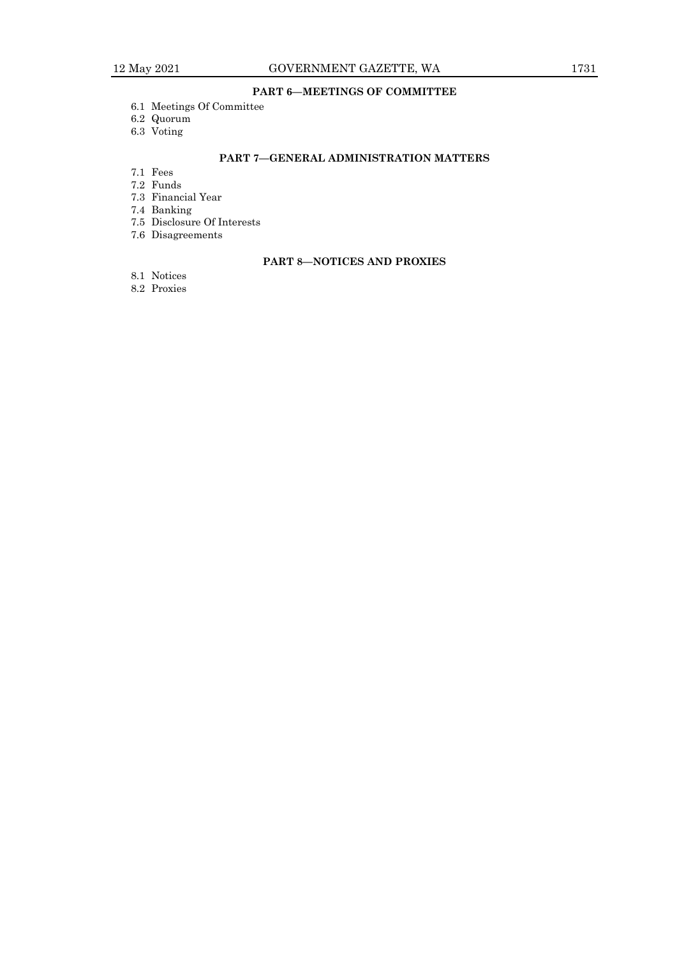# **PART 6—MEETINGS OF COMMITTEE**

- 6.1 Meetings Of Committee
- 6.2 Quorum
- 6.3 Voting

# **PART 7—GENERAL ADMINISTRATION MATTERS**

- 7.1 Fees
- 7.2 Funds
- 7.3 Financial Year
- 7.4 Banking
- 7.5 Disclosure Of Interests
- 7.6 Disagreements

# **PART 8—NOTICES AND PROXIES**

- 8.1 Notices
- 8.2 Proxies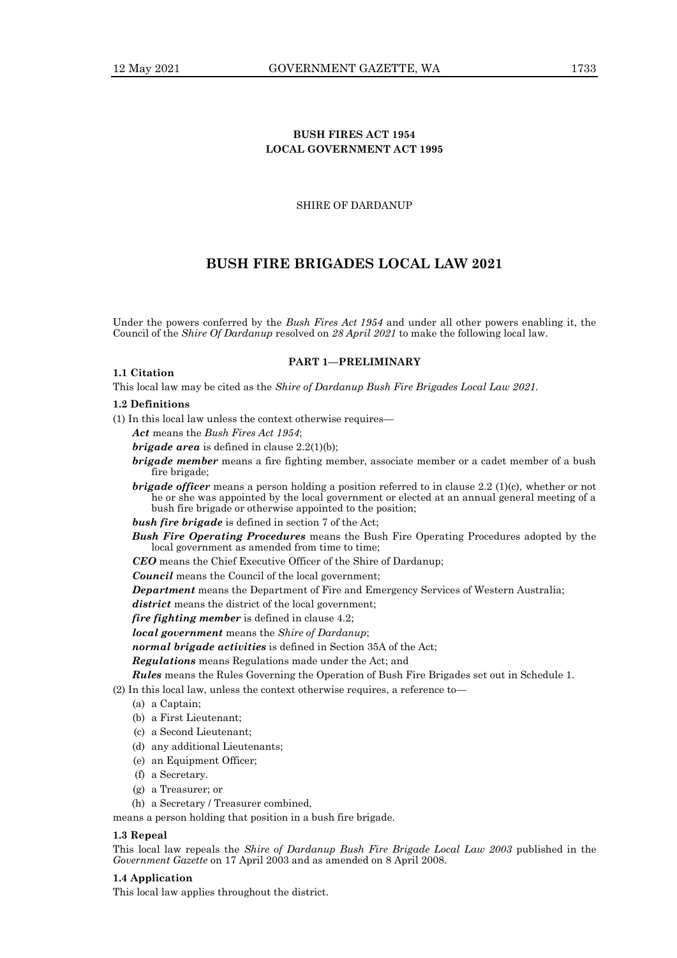# **BUSH FIRES ACT 1954 LOCAL GOVERNMENT ACT 1995**

# SHIRE OF DARDANUP

# **BUSH FIRE BRIGADES LOCAL LAW 2021**

Under the powers conferred by the *Bush Fires Act 1954* and under all other powers enabling it, the Council of the *Shire Of Dardanup* resolved on *28 April 2021* to make the following local law.

# **PART 1—PRELIMINARY**

This local law may be cited as the *Shire of Dardanup Bush Fire Brigades Local Law 2021.*

#### **1.2 Definitions**

**1.1 Citation**

(1) In this local law unless the context otherwise requires—

*Act* means the *Bush Fires Act 1954*;

*brigade area* is defined in clause 2.2(1)(b);

- *brigade member* means a fire fighting member, associate member or a cadet member of a bush fire brigade;
- *brigade officer* means a person holding a position referred to in clause 2.2 (1)(c), whether or not he or she was appointed by the local government or elected at an annual general meeting of a bush fire brigade or otherwise appointed to the position;
- *bush fire brigade* is defined in section 7 of the Act;
- *Bush Fire Operating Procedures* means the Bush Fire Operating Procedures adopted by the local government as amended from time to time;

*CEO* means the Chief Executive Officer of the Shire of Dardanup;

*Council* means the Council of the local government;

*Department* means the Department of Fire and Emergency Services of Western Australia;

*district* means the district of the local government;

*fire fighting member* is defined in clause 4.2;

*local government* means the *Shire of Dardanup*;

*normal brigade activities* is defined in Section 35A of the Act;

*Regulations* means Regulations made under the Act; and

*Rules* means the Rules Governing the Operation of Bush Fire Brigades set out in Schedule 1.

- (2) In this local law, unless the context otherwise requires, a reference to—
	- (a) a Captain;
	- (b) a First Lieutenant;
	- (c) a Second Lieutenant;
	- (d) any additional Lieutenants;
	- (e) an Equipment Officer;
	- (f) a Secretary.
	- (g) a Treasurer; or
	- (h) a Secretary / Treasurer combined,

means a person holding that position in a bush fire brigade.

#### **1.3 Repeal**

This local law repeals the *Shire of Dardanup Bush Fire Brigade Local Law 2003* published in the *Government Gazette* on 17 April 2003 and as amended on 8 April 2008.

# **1.4 Application**

This local law applies throughout the district.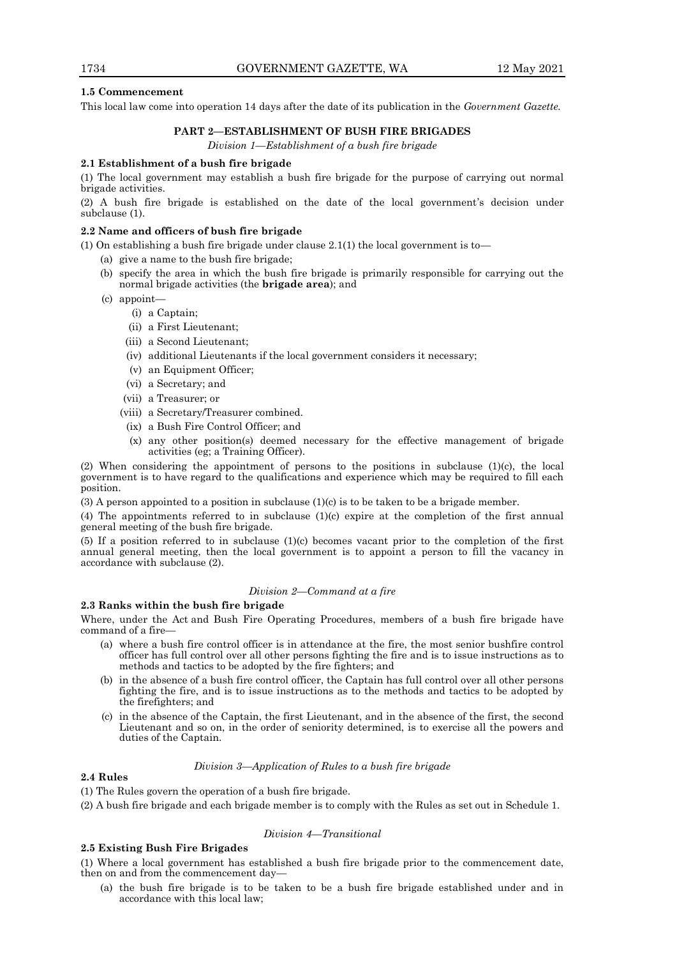# **1.5 Commencement**

This local law come into operation 14 days after the date of its publication in the *Government Gazette.*

# **PART 2—ESTABLISHMENT OF BUSH FIRE BRIGADES**

*Division 1—Establishment of a bush fire brigade*

# **2.1 Establishment of a bush fire brigade**

(1) The local government may establish a bush fire brigade for the purpose of carrying out normal brigade activities.

(2) A bush fire brigade is established on the date of the local government's decision under subclause (1).

# **2.2 Name and officers of bush fire brigade**

(1) On establishing a bush fire brigade under clause  $2.1(1)$  the local government is to

- (a) give a name to the bush fire brigade;
- (b) specify the area in which the bush fire brigade is primarily responsible for carrying out the normal brigade activities (the **brigade area**); and
- (c) appoint—
	- (i) a Captain;
	- (ii) a First Lieutenant;
	- (iii) a Second Lieutenant;
	- (iv) additional Lieutenants if the local government considers it necessary;
	- (v) an Equipment Officer;
	- (vi) a Secretary; and
	- (vii) a Treasurer; or
	- (viii) a Secretary/Treasurer combined.
		- (ix) a Bush Fire Control Officer; and
	- (x) any other position(s) deemed necessary for the effective management of brigade activities (eg; a Training Officer).

(2) When considering the appointment of persons to the positions in subclause (1)(c), the local government is to have regard to the qualifications and experience which may be required to fill each position.

(3) A person appointed to a position in subclause (1)(c) is to be taken to be a brigade member.

(4) The appointments referred to in subclause (1)(c) expire at the completion of the first annual general meeting of the bush fire brigade.

(5) If a position referred to in subclause (1)(c) becomes vacant prior to the completion of the first annual general meeting, then the local government is to appoint a person to fill the vacancy in accordance with subclause (2).

#### *Division 2—Command at a fire*

#### **2.3 Ranks within the bush fire brigade**

Where, under the Act and Bush Fire Operating Procedures, members of a bush fire brigade have command of a fire—

- (a) where a bush fire control officer is in attendance at the fire, the most senior bushfire control officer has full control over all other persons fighting the fire and is to issue instructions as to methods and tactics to be adopted by the fire fighters; and
- (b) in the absence of a bush fire control officer, the Captain has full control over all other persons fighting the fire, and is to issue instructions as to the methods and tactics to be adopted by the firefighters; and
- (c) in the absence of the Captain, the first Lieutenant, and in the absence of the first, the second Lieutenant and so on, in the order of seniority determined, is to exercise all the powers and duties of the Captain.

# *Division 3—Application of Rules to a bush fire brigade*

# **2.4 Rules**

(1) The Rules govern the operation of a bush fire brigade.

(2) A bush fire brigade and each brigade member is to comply with the Rules as set out in Schedule 1.

# *Division 4—Transitional*

# **2.5 Existing Bush Fire Brigades**

(1) Where a local government has established a bush fire brigade prior to the commencement date, then on and from the commencement day—

(a) the bush fire brigade is to be taken to be a bush fire brigade established under and in accordance with this local law;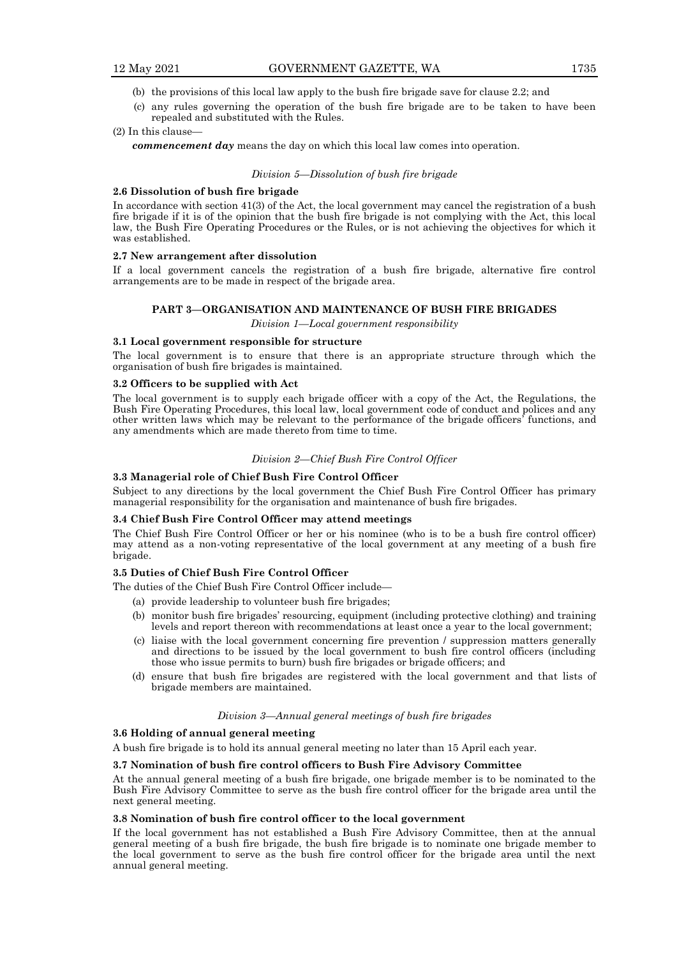- (b) the provisions of this local law apply to the bush fire brigade save for clause 2.2; and
- (c) any rules governing the operation of the bush fire brigade are to be taken to have been repealed and substituted with the Rules.

# (2) In this clause—

*commencement day* means the day on which this local law comes into operation.

#### *Division 5—Dissolution of bush fire brigade*

# **2.6 Dissolution of bush fire brigade**

In accordance with section 41(3) of the Act, the local government may cancel the registration of a bush fire brigade if it is of the opinion that the bush fire brigade is not complying with the Act, this local law, the Bush Fire Operating Procedures or the Rules, or is not achieving the objectives for which it was established.

# **2.7 New arrangement after dissolution**

If a local government cancels the registration of a bush fire brigade, alternative fire control arrangements are to be made in respect of the brigade area.

#### **PART 3—ORGANISATION AND MAINTENANCE OF BUSH FIRE BRIGADES**

*Division 1—Local government responsibility*

# **3.1 Local government responsible for structure**

The local government is to ensure that there is an appropriate structure through which the organisation of bush fire brigades is maintained.

#### **3.2 Officers to be supplied with Act**

The local government is to supply each brigade officer with a copy of the Act, the Regulations, the Bush Fire Operating Procedures, this local law, local government code of conduct and polices and any other written laws which may be relevant to the performance of the brigade officers' functions, and any amendments which are made thereto from time to time.

## *Division 2—Chief Bush Fire Control Officer*

# **3.3 Managerial role of Chief Bush Fire Control Officer**

Subject to any directions by the local government the Chief Bush Fire Control Officer has primary managerial responsibility for the organisation and maintenance of bush fire brigades.

#### **3.4 Chief Bush Fire Control Officer may attend meetings**

The Chief Bush Fire Control Officer or her or his nominee (who is to be a bush fire control officer) may attend as a non-voting representative of the local government at any meeting of a bush fire brigade.

# **3.5 Duties of Chief Bush Fire Control Officer**

The duties of the Chief Bush Fire Control Officer include—

- (a) provide leadership to volunteer bush fire brigades;
- (b) monitor bush fire brigades' resourcing, equipment (including protective clothing) and training levels and report thereon with recommendations at least once a year to the local government;
- (c) liaise with the local government concerning fire prevention / suppression matters generally and directions to be issued by the local government to bush fire control officers (including those who issue permits to burn) bush fire brigades or brigade officers; and
- (d) ensure that bush fire brigades are registered with the local government and that lists of brigade members are maintained.

#### *Division 3—Annual general meetings of bush fire brigades*

#### **3.6 Holding of annual general meeting**

A bush fire brigade is to hold its annual general meeting no later than 15 April each year.

#### **3.7 Nomination of bush fire control officers to Bush Fire Advisory Committee**

At the annual general meeting of a bush fire brigade, one brigade member is to be nominated to the Bush Fire Advisory Committee to serve as the bush fire control officer for the brigade area until the next general meeting.

# **3.8 Nomination of bush fire control officer to the local government**

If the local government has not established a Bush Fire Advisory Committee, then at the annual general meeting of a bush fire brigade, the bush fire brigade is to nominate one brigade member to the local government to serve as the bush fire control officer for the brigade area until the next annual general meeting.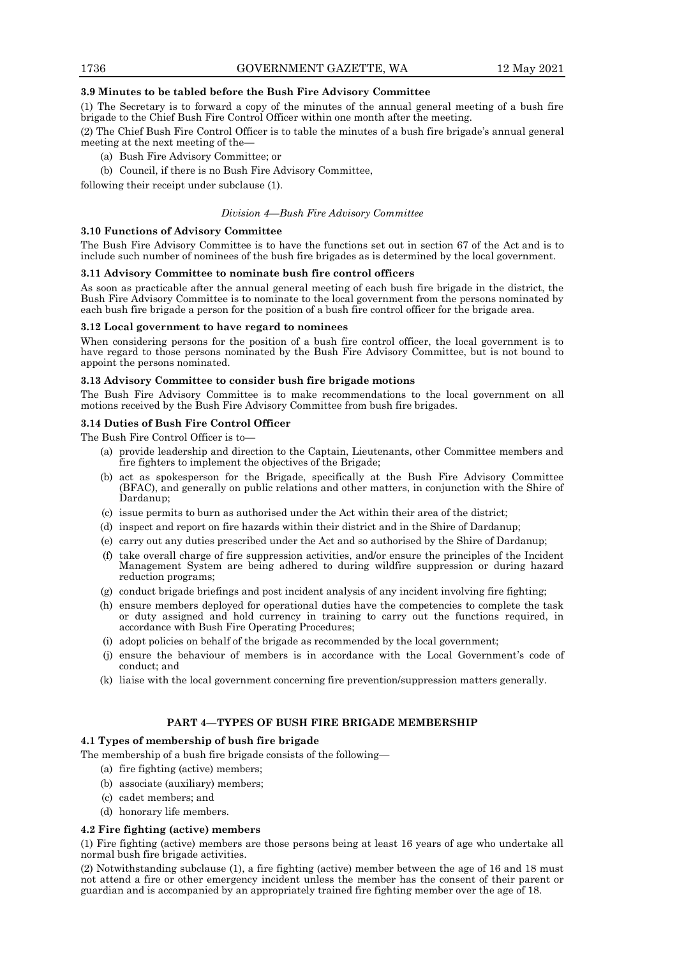# **3.9 Minutes to be tabled before the Bush Fire Advisory Committee**

(1) The Secretary is to forward a copy of the minutes of the annual general meeting of a bush fire brigade to the Chief Bush Fire Control Officer within one month after the meeting.

(2) The Chief Bush Fire Control Officer is to table the minutes of a bush fire brigade's annual general meeting at the next meeting of the—

- (a) Bush Fire Advisory Committee; or
- (b) Council, if there is no Bush Fire Advisory Committee,

following their receipt under subclause (1).

#### *Division 4—Bush Fire Advisory Committee*

#### **3.10 Functions of Advisory Committee**

The Bush Fire Advisory Committee is to have the functions set out in section 67 of the Act and is to include such number of nominees of the bush fire brigades as is determined by the local government.

#### **3.11 Advisory Committee to nominate bush fire control officers**

As soon as practicable after the annual general meeting of each bush fire brigade in the district, the Bush Fire Advisory Committee is to nominate to the local government from the persons nominated by each bush fire brigade a person for the position of a bush fire control officer for the brigade area.

# **3.12 Local government to have regard to nominees**

When considering persons for the position of a bush fire control officer, the local government is to have regard to those persons nominated by the Bush Fire Advisory Committee, but is not bound to appoint the persons nominated.

# **3.13 Advisory Committee to consider bush fire brigade motions**

The Bush Fire Advisory Committee is to make recommendations to the local government on all motions received by the Bush Fire Advisory Committee from bush fire brigades.

# **3.14 Duties of Bush Fire Control Officer**

The Bush Fire Control Officer is to—

- (a) provide leadership and direction to the Captain, Lieutenants, other Committee members and fire fighters to implement the objectives of the Brigade;
- (b) act as spokesperson for the Brigade, specifically at the Bush Fire Advisory Committee (BFAC), and generally on public relations and other matters, in conjunction with the Shire of Dardanup;
- (c) issue permits to burn as authorised under the Act within their area of the district;
- (d) inspect and report on fire hazards within their district and in the Shire of Dardanup;
- (e) carry out any duties prescribed under the Act and so authorised by the Shire of Dardanup;
- (f) take overall charge of fire suppression activities, and/or ensure the principles of the Incident Management System are being adhered to during wildfire suppression or during hazard reduction programs;
- (g) conduct brigade briefings and post incident analysis of any incident involving fire fighting;
- (h) ensure members deployed for operational duties have the competencies to complete the task or duty assigned and hold currency in training to carry out the functions required, in accordance with Bush Fire Operating Procedures;
- (i) adopt policies on behalf of the brigade as recommended by the local government;
- (j) ensure the behaviour of members is in accordance with the Local Government's code of conduct; and
- (k) liaise with the local government concerning fire prevention/suppression matters generally.

# **PART 4—TYPES OF BUSH FIRE BRIGADE MEMBERSHIP**

# **4.1 Types of membership of bush fire brigade**

The membership of a bush fire brigade consists of the following—

- (a) fire fighting (active) members;
- (b) associate (auxiliary) members;
- (c) cadet members; and
- (d) honorary life members.

# **4.2 Fire fighting (active) members**

(1) Fire fighting (active) members are those persons being at least 16 years of age who undertake all normal bush fire brigade activities.

(2) Notwithstanding subclause (1), a fire fighting (active) member between the age of 16 and 18 must not attend a fire or other emergency incident unless the member has the consent of their parent or guardian and is accompanied by an appropriately trained fire fighting member over the age of 18.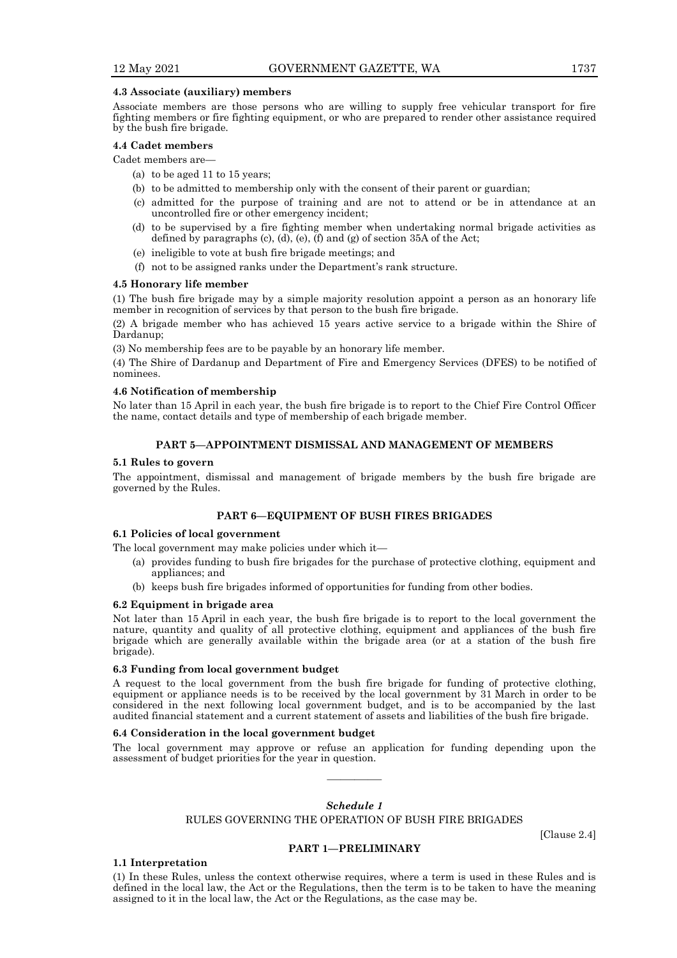#### **4.3 Associate (auxiliary) members**

Associate members are those persons who are willing to supply free vehicular transport for fire fighting members or fire fighting equipment, or who are prepared to render other assistance required by the bush fire brigade.

#### **4.4 Cadet members**

Cadet members are—

- (a) to be aged 11 to 15 years;
- (b) to be admitted to membership only with the consent of their parent or guardian;
- (c) admitted for the purpose of training and are not to attend or be in attendance at an uncontrolled fire or other emergency incident;
- (d) to be supervised by a fire fighting member when undertaking normal brigade activities as defined by paragraphs (c), (d), (e), (f) and (g) of section 35A of the Act;
- (e) ineligible to vote at bush fire brigade meetings; and
- (f) not to be assigned ranks under the Department's rank structure.

#### **4.5 Honorary life member**

(1) The bush fire brigade may by a simple majority resolution appoint a person as an honorary life member in recognition of services by that person to the bush fire brigade.

(2) A brigade member who has achieved 15 years active service to a brigade within the Shire of Dardanup;

(3) No membership fees are to be payable by an honorary life member.

(4) The Shire of Dardanup and Department of Fire and Emergency Services (DFES) to be notified of nominees.

#### **4.6 Notification of membership**

No later than 15 April in each year, the bush fire brigade is to report to the Chief Fire Control Officer the name, contact details and type of membership of each brigade member.

# **PART 5—APPOINTMENT DISMISSAL AND MANAGEMENT OF MEMBERS**

# **5.1 Rules to govern**

The appointment, dismissal and management of brigade members by the bush fire brigade are governed by the Rules.

# **PART 6—EQUIPMENT OF BUSH FIRES BRIGADES**

# **6.1 Policies of local government**

The local government may make policies under which it—

- (a) provides funding to bush fire brigades for the purchase of protective clothing, equipment and appliances; and
- (b) keeps bush fire brigades informed of opportunities for funding from other bodies.

#### **6.2 Equipment in brigade area**

Not later than 15 April in each year, the bush fire brigade is to report to the local government the nature, quantity and quality of all protective clothing, equipment and appliances of the bush fire brigade which are generally available within the brigade area (or at a station of the bush fire brigade).

#### **6.3 Funding from local government budget**

A request to the local government from the bush fire brigade for funding of protective clothing, equipment or appliance needs is to be received by the local government by 31 March in order to be considered in the next following local government budget, and is to be accompanied by the last audited financial statement and a current statement of assets and liabilities of the bush fire brigade.

# **6.4 Consideration in the local government budget**

The local government may approve or refuse an application for funding depending upon the assessment of budget priorities for the year in question.

# *Schedule 1*

————

RULES GOVERNING THE OPERATION OF BUSH FIRE BRIGADES

[Clause 2.4]

#### **PART 1—PRELIMINARY**

**1.1 Interpretation**

(1) In these Rules, unless the context otherwise requires, where a term is used in these Rules and is defined in the local law, the Act or the Regulations, then the term is to be taken to have the meaning assigned to it in the local law, the Act or the Regulations, as the case may be.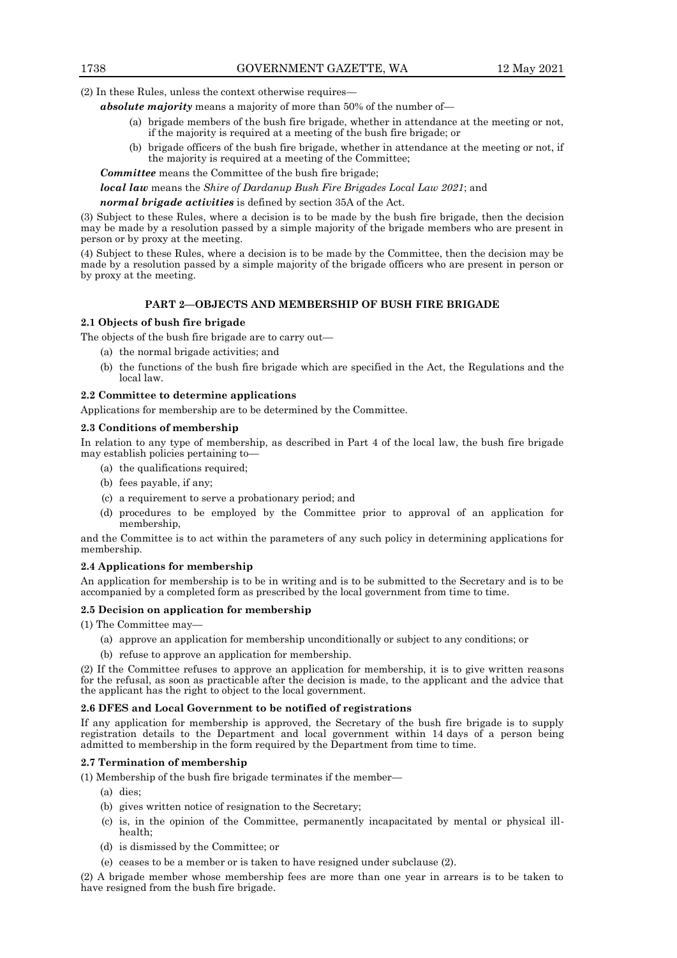(2) In these Rules, unless the context otherwise requires—

*absolute majority* means a majority of more than 50% of the number of—

- (a) brigade members of the bush fire brigade, whether in attendance at the meeting or not, if the majority is required at a meeting of the bush fire brigade; or
- (b) brigade officers of the bush fire brigade, whether in attendance at the meeting or not, if the majority is required at a meeting of the Committee;

*Committee* means the Committee of the bush fire brigade;

*local law* means the *Shire of Dardanup Bush Fire Brigades Local Law 2021*; and

*normal brigade activities* is defined by section 35A of the Act.

(3) Subject to these Rules, where a decision is to be made by the bush fire brigade, then the decision may be made by a resolution passed by a simple majority of the brigade members who are present in person or by proxy at the meeting.

(4) Subject to these Rules, where a decision is to be made by the Committee, then the decision may be made by a resolution passed by a simple majority of the brigade officers who are present in person or by proxy at the meeting.

# **PART 2—OBJECTS AND MEMBERSHIP OF BUSH FIRE BRIGADE**

# **2.1 Objects of bush fire brigade**

The objects of the bush fire brigade are to carry out—

- (a) the normal brigade activities; and
- (b) the functions of the bush fire brigade which are specified in the Act, the Regulations and the local law.

#### **2.2 Committee to determine applications**

Applications for membership are to be determined by the Committee.

# **2.3 Conditions of membership**

In relation to any type of membership, as described in Part 4 of the local law, the bush fire brigade may establish policies pertaining to—

- (a) the qualifications required;
- (b) fees payable, if any;
- (c) a requirement to serve a probationary period; and
- (d) procedures to be employed by the Committee prior to approval of an application for membership,

and the Committee is to act within the parameters of any such policy in determining applications for membership.

#### **2.4 Applications for membership**

An application for membership is to be in writing and is to be submitted to the Secretary and is to be accompanied by a completed form as prescribed by the local government from time to time.

#### **2.5 Decision on application for membership**

(1) The Committee may—

- (a) approve an application for membership unconditionally or subject to any conditions; or
- (b) refuse to approve an application for membership.

(2) If the Committee refuses to approve an application for membership, it is to give written reasons for the refusal, as soon as practicable after the decision is made, to the applicant and the advice that the applicant has the right to object to the local government.

#### **2.6 DFES and Local Government to be notified of registrations**

If any application for membership is approved, the Secretary of the bush fire brigade is to supply registration details to the Department and local government within 14 days of a person being admitted to membership in the form required by the Department from time to time.

# **2.7 Termination of membership**

(1) Membership of the bush fire brigade terminates if the member—

(a) dies;

- (b) gives written notice of resignation to the Secretary;
- (c) is, in the opinion of the Committee, permanently incapacitated by mental or physical illhealth;
- (d) is dismissed by the Committee; or
- (e) ceases to be a member or is taken to have resigned under subclause (2).

(2) A brigade member whose membership fees are more than one year in arrears is to be taken to have resigned from the bush fire brigade.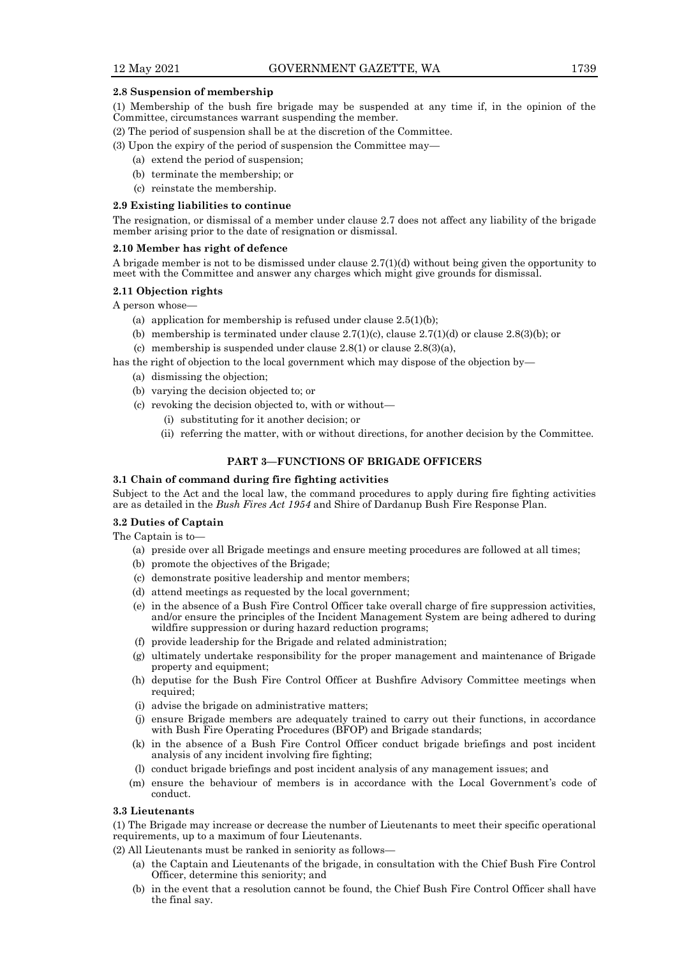# **2.8 Suspension of membership**

- (1) Membership of the bush fire brigade may be suspended at any time if, in the opinion of the Committee, circumstances warrant suspending the member.
- (2) The period of suspension shall be at the discretion of the Committee.
- (3) Upon the expiry of the period of suspension the Committee may—
	- (a) extend the period of suspension;
	- (b) terminate the membership; or
	- (c) reinstate the membership.

#### **2.9 Existing liabilities to continue**

The resignation, or dismissal of a member under clause 2.7 does not affect any liability of the brigade member arising prior to the date of resignation or dismissal.

#### **2.10 Member has right of defence**

A brigade member is not to be dismissed under clause 2.7(1)(d) without being given the opportunity to meet with the Committee and answer any charges which might give grounds for dismissal.

# **2.11 Objection rights**

A person whose—

- (a) application for membership is refused under clause  $2.5(1)(b)$ ;
- (b) membership is terminated under clause  $2.7(1)(c)$ , clause  $2.7(1)(d)$  or clause  $2.8(3)(b)$ ; or
- (c) membership is suspended under clause 2.8(1) or clause 2.8(3)(a),

has the right of objection to the local government which may dispose of the objection by—

- (a) dismissing the objection;
- (b) varying the decision objected to; or
- (c) revoking the decision objected to, with or without—
	- (i) substituting for it another decision; or
	- (ii) referring the matter, with or without directions, for another decision by the Committee.

# **PART 3—FUNCTIONS OF BRIGADE OFFICERS**

# **3.1 Chain of command during fire fighting activities**

Subject to the Act and the local law, the command procedures to apply during fire fighting activities are as detailed in the *Bush Fires Act 1954* and Shire of Dardanup Bush Fire Response Plan.

#### **3.2 Duties of Captain**

The Captain is to—

- (a) preside over all Brigade meetings and ensure meeting procedures are followed at all times;
- (b) promote the objectives of the Brigade;
- (c) demonstrate positive leadership and mentor members;
- (d) attend meetings as requested by the local government;
- (e) in the absence of a Bush Fire Control Officer take overall charge of fire suppression activities, and/or ensure the principles of the Incident Management System are being adhered to during wildfire suppression or during hazard reduction programs;
- (f) provide leadership for the Brigade and related administration;
- (g) ultimately undertake responsibility for the proper management and maintenance of Brigade property and equipment;
- (h) deputise for the Bush Fire Control Officer at Bushfire Advisory Committee meetings when required;
- (i) advise the brigade on administrative matters;
- (j) ensure Brigade members are adequately trained to carry out their functions, in accordance with Bush Fire Operating Procedures (BFOP) and Brigade standards;
- (k) in the absence of a Bush Fire Control Officer conduct brigade briefings and post incident analysis of any incident involving fire fighting;
- (l) conduct brigade briefings and post incident analysis of any management issues; and
- (m) ensure the behaviour of members is in accordance with the Local Government's code of conduct.

#### **3.3 Lieutenants**

(1) The Brigade may increase or decrease the number of Lieutenants to meet their specific operational requirements, up to a maximum of four Lieutenants.

- (2) All Lieutenants must be ranked in seniority as follows—
	- (a) the Captain and Lieutenants of the brigade, in consultation with the Chief Bush Fire Control Officer, determine this seniority; and
	- (b) in the event that a resolution cannot be found, the Chief Bush Fire Control Officer shall have the final say.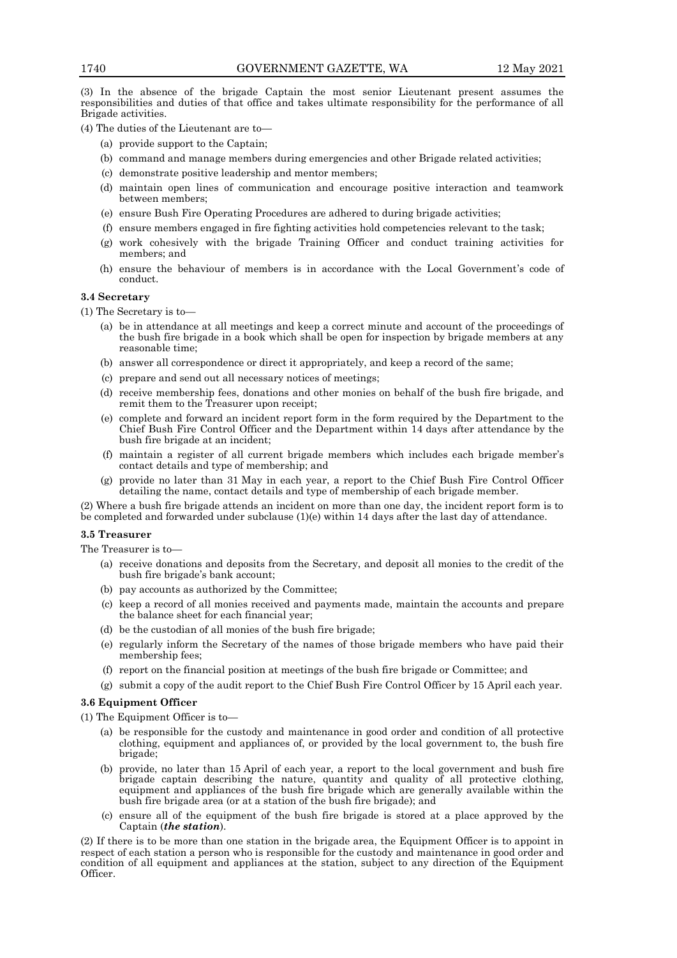(3) In the absence of the brigade Captain the most senior Lieutenant present assumes the responsibilities and duties of that office and takes ultimate responsibility for the performance of all Brigade activities.

(4) The duties of the Lieutenant are to—

- (a) provide support to the Captain;
- (b) command and manage members during emergencies and other Brigade related activities;
- (c) demonstrate positive leadership and mentor members;
- (d) maintain open lines of communication and encourage positive interaction and teamwork between members;
- (e) ensure Bush Fire Operating Procedures are adhered to during brigade activities;
- (f) ensure members engaged in fire fighting activities hold competencies relevant to the task;
- (g) work cohesively with the brigade Training Officer and conduct training activities for members; and
- (h) ensure the behaviour of members is in accordance with the Local Government's code of conduct.

# **3.4 Secretary**

(1) The Secretary is to—

- (a) be in attendance at all meetings and keep a correct minute and account of the proceedings of the bush fire brigade in a book which shall be open for inspection by brigade members at any reasonable time;
- (b) answer all correspondence or direct it appropriately, and keep a record of the same;
- (c) prepare and send out all necessary notices of meetings;
- (d) receive membership fees, donations and other monies on behalf of the bush fire brigade, and remit them to the Treasurer upon receipt;
- (e) complete and forward an incident report form in the form required by the Department to the Chief Bush Fire Control Officer and the Department within 14 days after attendance by the bush fire brigade at an incident;
- (f) maintain a register of all current brigade members which includes each brigade member's contact details and type of membership; and
- (g) provide no later than 31 May in each year, a report to the Chief Bush Fire Control Officer detailing the name, contact details and type of membership of each brigade member.

(2) Where a bush fire brigade attends an incident on more than one day, the incident report form is to be completed and forwarded under subclause (1)(e) within 14 days after the last day of attendance.

# **3.5 Treasurer**

The Treasurer is to—

- (a) receive donations and deposits from the Secretary, and deposit all monies to the credit of the bush fire brigade's bank account;
- (b) pay accounts as authorized by the Committee;
- (c) keep a record of all monies received and payments made, maintain the accounts and prepare the balance sheet for each financial year;
- (d) be the custodian of all monies of the bush fire brigade;
- (e) regularly inform the Secretary of the names of those brigade members who have paid their membership fees;
- (f) report on the financial position at meetings of the bush fire brigade or Committee; and
- (g) submit a copy of the audit report to the Chief Bush Fire Control Officer by 15 April each year.

#### **3.6 Equipment Officer**

(1) The Equipment Officer is to—

- (a) be responsible for the custody and maintenance in good order and condition of all protective clothing, equipment and appliances of, or provided by the local government to, the bush fire brigade;
- (b) provide, no later than 15 April of each year, a report to the local government and bush fire brigade captain describing the nature, quantity and quality of all protective clothing, equipment and appliances of the bush fire brigade which are generally available within the bush fire brigade area (or at a station of the bush fire brigade); and
- (c) ensure all of the equipment of the bush fire brigade is stored at a place approved by the Captain (*the station*).

(2) If there is to be more than one station in the brigade area, the Equipment Officer is to appoint in respect of each station a person who is responsible for the custody and maintenance in good order and condition of all equipment and appliances at the station, subject to any direction of the Equipment Officer.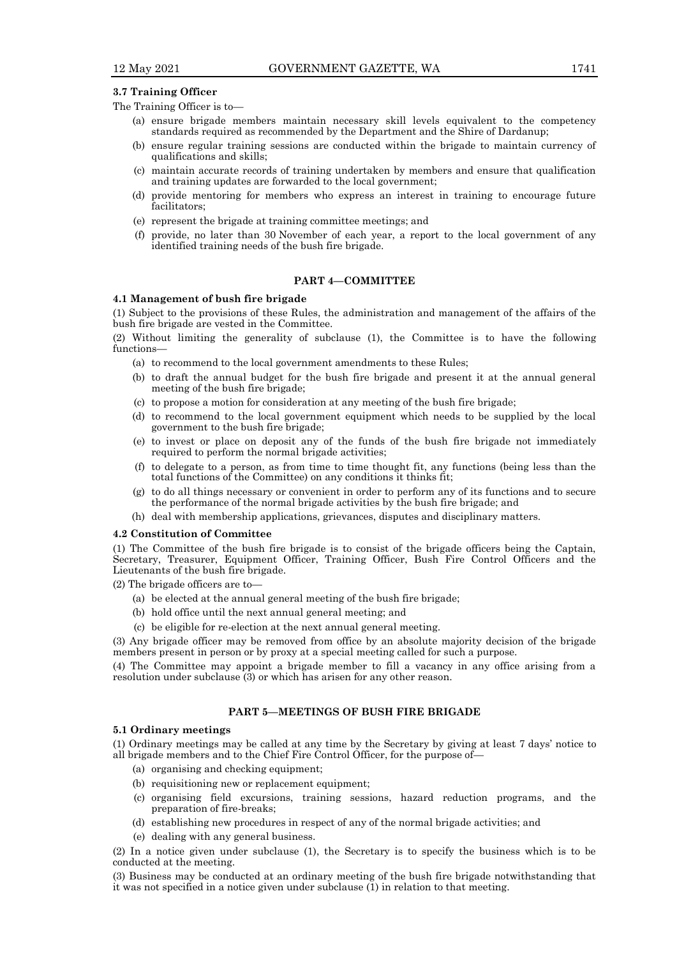# **3.7 Training Officer**

The Training Officer is to—

- (a) ensure brigade members maintain necessary skill levels equivalent to the competency standards required as recommended by the Department and the Shire of Dardanup;
- (b) ensure regular training sessions are conducted within the brigade to maintain currency of qualifications and skills;
- (c) maintain accurate records of training undertaken by members and ensure that qualification and training updates are forwarded to the local government;
- (d) provide mentoring for members who express an interest in training to encourage future facilitators;
- (e) represent the brigade at training committee meetings; and
- (f) provide, no later than 30 November of each year, a report to the local government of any identified training needs of the bush fire brigade.

# **PART 4—COMMITTEE**

# **4.1 Management of bush fire brigade**

(1) Subject to the provisions of these Rules, the administration and management of the affairs of the bush fire brigade are vested in the Committee.

(2) Without limiting the generality of subclause (1), the Committee is to have the following functions-

- (a) to recommend to the local government amendments to these Rules;
- (b) to draft the annual budget for the bush fire brigade and present it at the annual general meeting of the bush fire brigade;
- (c) to propose a motion for consideration at any meeting of the bush fire brigade;
- (d) to recommend to the local government equipment which needs to be supplied by the local government to the bush fire brigade;
- (e) to invest or place on deposit any of the funds of the bush fire brigade not immediately required to perform the normal brigade activities;
- (f) to delegate to a person, as from time to time thought fit, any functions (being less than the total functions of the Committee) on any conditions it thinks fit;
- (g) to do all things necessary or convenient in order to perform any of its functions and to secure the performance of the normal brigade activities by the bush fire brigade; and
- (h) deal with membership applications, grievances, disputes and disciplinary matters.

# **4.2 Constitution of Committee**

(1) The Committee of the bush fire brigade is to consist of the brigade officers being the Captain, Secretary, Treasurer, Equipment Officer, Training Officer, Bush Fire Control Officers and the Lieutenants of the bush fire brigade.

(2) The brigade officers are to—

- (a) be elected at the annual general meeting of the bush fire brigade;
- (b) hold office until the next annual general meeting; and
- (c) be eligible for re-election at the next annual general meeting.

(3) Any brigade officer may be removed from office by an absolute majority decision of the brigade members present in person or by proxy at a special meeting called for such a purpose.

(4) The Committee may appoint a brigade member to fill a vacancy in any office arising from a resolution under subclause  $(3)$  or which has arisen for any other reason.

# **PART 5—MEETINGS OF BUSH FIRE BRIGADE**

#### **5.1 Ordinary meetings**

(1) Ordinary meetings may be called at any time by the Secretary by giving at least 7 days' notice to all brigade members and to the Chief Fire Control Officer, for the purpose of—

- (a) organising and checking equipment;
- (b) requisitioning new or replacement equipment;
- (c) organising field excursions, training sessions, hazard reduction programs, and the preparation of fire-breaks;
- (d) establishing new procedures in respect of any of the normal brigade activities; and
- (e) dealing with any general business.

(2) In a notice given under subclause (1), the Secretary is to specify the business which is to be conducted at the meeting.

(3) Business may be conducted at an ordinary meeting of the bush fire brigade notwithstanding that it was not specified in a notice given under subclause (1) in relation to that meeting.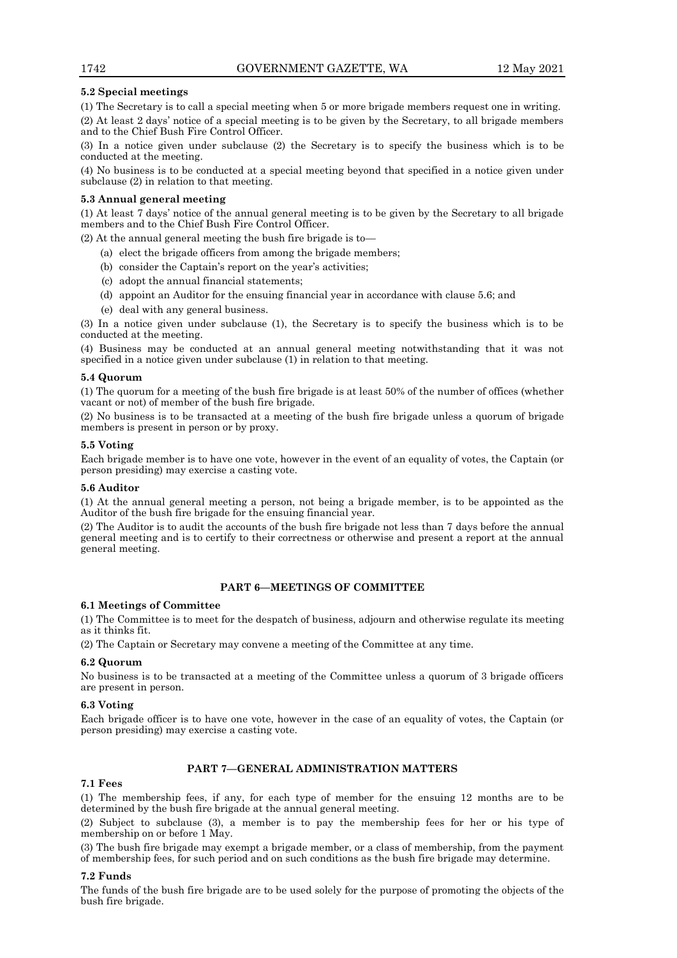# **5.2 Special meetings**

(1) The Secretary is to call a special meeting when 5 or more brigade members request one in writing.

(2) At least 2 days' notice of a special meeting is to be given by the Secretary, to all brigade members and to the Chief Bush Fire Control Officer.

(3) In a notice given under subclause (2) the Secretary is to specify the business which is to be conducted at the meeting.

(4) No business is to be conducted at a special meeting beyond that specified in a notice given under subclause (2) in relation to that meeting.

# **5.3 Annual general meeting**

(1) At least 7 days' notice of the annual general meeting is to be given by the Secretary to all brigade members and to the Chief Bush Fire Control Officer.

(2) At the annual general meeting the bush fire brigade is to—

- (a) elect the brigade officers from among the brigade members;
- (b) consider the Captain's report on the year's activities;
- (c) adopt the annual financial statements;
- (d) appoint an Auditor for the ensuing financial year in accordance with clause 5.6; and
- (e) deal with any general business.

(3) In a notice given under subclause (1), the Secretary is to specify the business which is to be conducted at the meeting.

(4) Business may be conducted at an annual general meeting notwithstanding that it was not specified in a notice given under subclause (1) in relation to that meeting.

# **5.4 Quorum**

(1) The quorum for a meeting of the bush fire brigade is at least 50% of the number of offices (whether vacant or not) of member of the bush fire brigade.

(2) No business is to be transacted at a meeting of the bush fire brigade unless a quorum of brigade members is present in person or by proxy.

# **5.5 Voting**

Each brigade member is to have one vote, however in the event of an equality of votes, the Captain (or person presiding) may exercise a casting vote.

# **5.6 Auditor**

(1) At the annual general meeting a person, not being a brigade member, is to be appointed as the Auditor of the bush fire brigade for the ensuing financial year.

(2) The Auditor is to audit the accounts of the bush fire brigade not less than 7 days before the annual general meeting and is to certify to their correctness or otherwise and present a report at the annual general meeting.

# **PART 6—MEETINGS OF COMMITTEE**

## **6.1 Meetings of Committee**

(1) The Committee is to meet for the despatch of business, adjourn and otherwise regulate its meeting as it thinks fit.

(2) The Captain or Secretary may convene a meeting of the Committee at any time.

#### **6.2 Quorum**

No business is to be transacted at a meeting of the Committee unless a quorum of 3 brigade officers are present in person.

# **6.3 Voting**

Each brigade officer is to have one vote, however in the case of an equality of votes, the Captain (or person presiding) may exercise a casting vote.

# **PART 7—GENERAL ADMINISTRATION MATTERS**

# **7.1 Fees**

(1) The membership fees, if any, for each type of member for the ensuing 12 months are to be determined by the bush fire brigade at the annual general meeting.

(2) Subject to subclause (3), a member is to pay the membership fees for her or his type of membership on or before 1 May.

(3) The bush fire brigade may exempt a brigade member, or a class of membership, from the payment of membership fees, for such period and on such conditions as the bush fire brigade may determine.

#### **7.2 Funds**

The funds of the bush fire brigade are to be used solely for the purpose of promoting the objects of the bush fire brigade.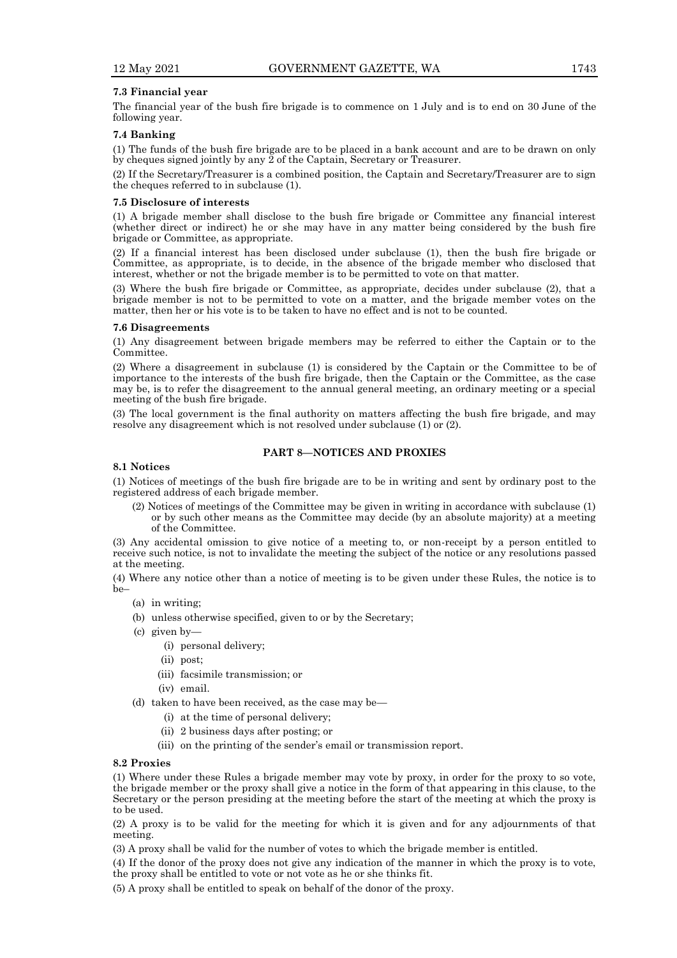# **7.3 Financial year**

The financial year of the bush fire brigade is to commence on 1 July and is to end on 30 June of the following year.

# **7.4 Banking**

(1) The funds of the bush fire brigade are to be placed in a bank account and are to be drawn on only by cheques signed jointly by any 2 of the Captain, Secretary or Treasurer.

(2) If the Secretary/Treasurer is a combined position, the Captain and Secretary/Treasurer are to sign the cheques referred to in subclause (1).

#### **7.5 Disclosure of interests**

(1) A brigade member shall disclose to the bush fire brigade or Committee any financial interest (whether direct or indirect) he or she may have in any matter being considered by the bush fire brigade or Committee, as appropriate.

(2) If a financial interest has been disclosed under subclause (1), then the bush fire brigade or Committee, as appropriate, is to decide, in the absence of the brigade member who disclosed that interest, whether or not the brigade member is to be permitted to vote on that matter.

(3) Where the bush fire brigade or Committee, as appropriate, decides under subclause (2), that a brigade member is not to be permitted to vote on a matter, and the brigade member votes on the matter, then her or his vote is to be taken to have no effect and is not to be counted.

#### **7.6 Disagreements**

(1) Any disagreement between brigade members may be referred to either the Captain or to the Committee.

(2) Where a disagreement in subclause (1) is considered by the Captain or the Committee to be of importance to the interests of the bush fire brigade, then the Captain or the Committee, as the case may be, is to refer the disagreement to the annual general meeting, an ordinary meeting or a special meeting of the bush fire brigade.

(3) The local government is the final authority on matters affecting the bush fire brigade, and may resolve any disagreement which is not resolved under subclause (1) or (2).

# **PART 8—NOTICES AND PROXIES**

# **8.1 Notices**

(1) Notices of meetings of the bush fire brigade are to be in writing and sent by ordinary post to the registered address of each brigade member.

(2) Notices of meetings of the Committee may be given in writing in accordance with subclause (1) or by such other means as the Committee may decide (by an absolute majority) at a meeting of the Committee.

(3) Any accidental omission to give notice of a meeting to, or non-receipt by a person entitled to receive such notice, is not to invalidate the meeting the subject of the notice or any resolutions passed at the meeting.

(4) Where any notice other than a notice of meeting is to be given under these Rules, the notice is to be–

- (a) in writing;
- (b) unless otherwise specified, given to or by the Secretary;
- (c) given by—
	- (i) personal delivery;
	- (ii) post;
	- (iii) facsimile transmission; or
	- (iv) email.

(d) taken to have been received, as the case may be—

- (i) at the time of personal delivery;
- (ii) 2 business days after posting; or
- (iii) on the printing of the sender's email or transmission report.

#### **8.2 Proxies**

(1) Where under these Rules a brigade member may vote by proxy, in order for the proxy to so vote, the brigade member or the proxy shall give a notice in the form of that appearing in this clause, to the Secretary or the person presiding at the meeting before the start of the meeting at which the proxy is to be used.

(2) A proxy is to be valid for the meeting for which it is given and for any adjournments of that meeting.

(3) A proxy shall be valid for the number of votes to which the brigade member is entitled.

(4) If the donor of the proxy does not give any indication of the manner in which the proxy is to vote, the proxy shall be entitled to vote or not vote as he or she thinks fit.

(5) A proxy shall be entitled to speak on behalf of the donor of the proxy.